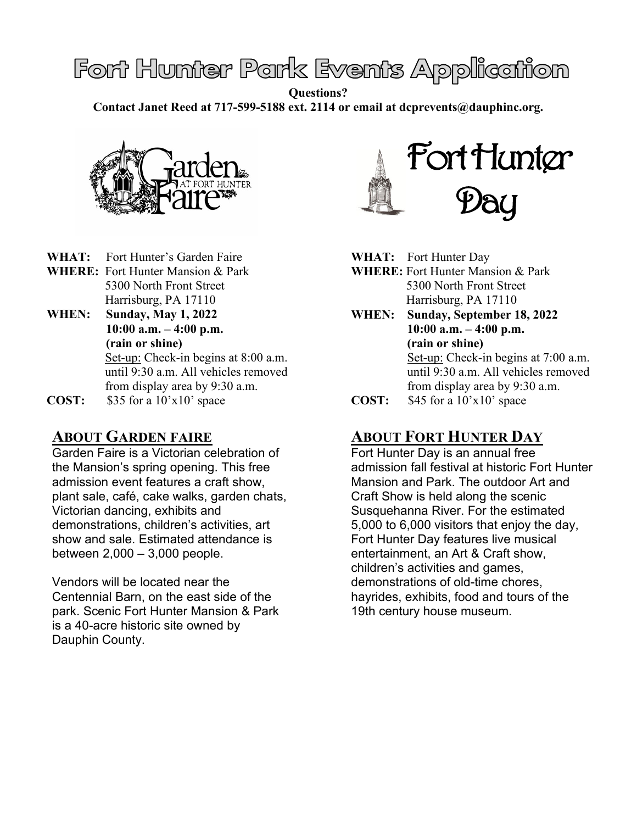# Font Hunter Park Events Application

**Questions?** 

**Contact Janet Reed at 717-599-5188 ext. 2114 or email at dcprevents@dauphinc.org.**



**WHAT:** Fort Hunter's Garden Faire **WHERE:** Fort Hunter Mansion & Park 5300 North Front Street

Harrisburg, PA 17110

**WHEN: Sunday, May 1, 2022 10:00 a.m. – 4:00 p.m. (rain or shine)**

 Set-up: Check-in begins at 8:00 a.m. until 9:30 a.m. All vehicles removed from display area by 9:30 a.m.

**COST:** \$35 for a 10'x10' space

#### **ABOUT GARDEN FAIRE**

Garden Faire is a Victorian celebration of the Mansion's spring opening. This free admission event features a craft show, plant sale, café, cake walks, garden chats, Victorian dancing, exhibits and demonstrations, children's activities, art show and sale. Estimated attendance is between 2,000 – 3,000 people.

Vendors will be located near the Centennial Barn, on the east side of the park. Scenic Fort Hunter Mansion & Park is a 40-acre historic site owned by Dauphin County.



- **WHAT:** Fort Hunter Day
- **WHERE:** Fort Hunter Mansion & Park 5300 North Front Street Harrisburg, PA 17110
- **WHEN: Sunday, September 18, 2022 10:00 a.m. – 4:00 p.m. (rain or shine)** Set-up: Check-in begins at 7:00 a.m. until 9:30 a.m. All vehicles removed from display area by 9:30 a.m.
- **COST:** \$45 for a 10'x10' space

### **ABOUT FORT HUNTER DAY**

Fort Hunter Day is an annual free admission fall festival at historic Fort Hunter Mansion and Park. The outdoor Art and Craft Show is held along the scenic Susquehanna River. For the estimated 5,000 to 6,000 visitors that enjoy the day, Fort Hunter Day features live musical entertainment, an Art & Craft show, children's activities and games, demonstrations of old-time chores, hayrides, exhibits, food and tours of the 19th century house museum.